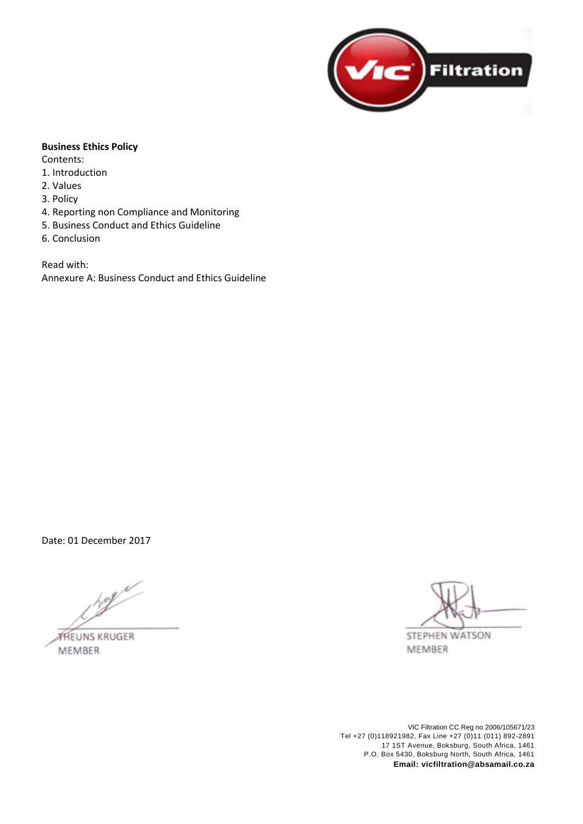

## **Business Ethics Policy**

Contents:

- 1. Introduction
- 2. Values
- 3. Policy
- 4. Reporting non Compliance and Monitoring
- 5. Business Conduct and Ethics Guideline
- 6. Conclusion

Read with: Annexure A: Business Conduct and Ethics Guideline

Date: 01 December 2017

**THEUNS KRUGER** 

**MEMBER** 

STEPHEN WATSON MEMBER

VIC Filtration CC Reg no 2006/105671/23 Tel +27 (0)118921982, Fax Line +27 (0)11 (011) 892-2891 17 1ST Avenue, Boksburg, South Africa, 1461 P.O. Box 5430, Boksburg North, South Africa, 1461 **Email: vicfiltration@absamail.co.za**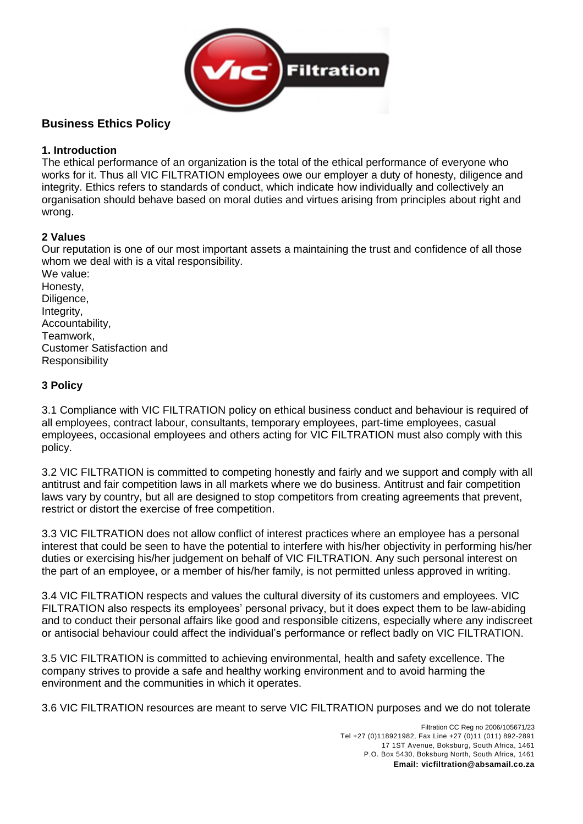

# **Business Ethics Policy**

## **1. Introduction**

The ethical performance of an organization is the total of the ethical performance of everyone who works for it. Thus all VIC FILTRATION employees owe our employer a duty of honesty, diligence and integrity. Ethics refers to standards of conduct, which indicate how individually and collectively an organisation should behave based on moral duties and virtues arising from principles about right and wrong.

## **2 Values**

Our reputation is one of our most important assets a maintaining the trust and confidence of all those whom we deal with is a vital responsibility.

We value: Honesty, Diligence, Integrity, Accountability, Teamwork, Customer Satisfaction and Responsibility

## **3 Policy**

3.1 Compliance with VIC FILTRATION policy on ethical business conduct and behaviour is required of all employees, contract labour, consultants, temporary employees, part-time employees, casual employees, occasional employees and others acting for VIC FILTRATION must also comply with this policy.

3.2 VIC FILTRATION is committed to competing honestly and fairly and we support and comply with all antitrust and fair competition laws in all markets where we do business. Antitrust and fair competition laws vary by country, but all are designed to stop competitors from creating agreements that prevent, restrict or distort the exercise of free competition.

3.3 VIC FILTRATION does not allow conflict of interest practices where an employee has a personal interest that could be seen to have the potential to interfere with his/her objectivity in performing his/her duties or exercising his/her judgement on behalf of VIC FILTRATION. Any such personal interest on the part of an employee, or a member of his/her family, is not permitted unless approved in writing.

3.4 VIC FILTRATION respects and values the cultural diversity of its customers and employees. VIC FILTRATION also respects its employees' personal privacy, but it does expect them to be law-abiding and to conduct their personal affairs like good and responsible citizens, especially where any indiscreet or antisocial behaviour could affect the individual's performance or reflect badly on VIC FILTRATION.

3.5 VIC FILTRATION is committed to achieving environmental, health and safety excellence. The company strives to provide a safe and healthy working environment and to avoid harming the environment and the communities in which it operates.

3.6 VIC FILTRATION resources are meant to serve VIC FILTRATION purposes and we do not tolerate